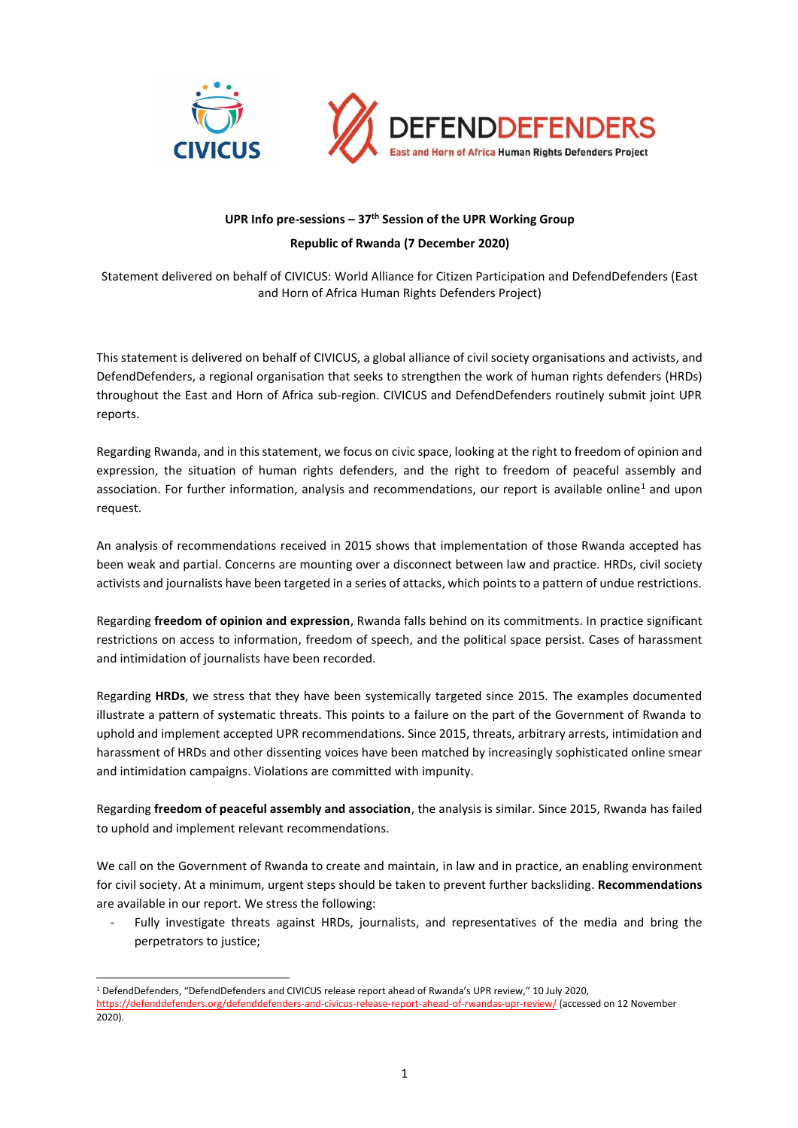

## **UPR Info pre-sessions – 37th Session of the UPR Working Group Republic of Rwanda (7 December 2020)**

Statement delivered on behalf of CIVICUS: World Alliance for Citizen Participation and DefendDefenders (East and Horn of Africa Human Rights Defenders Project)

This statement is delivered on behalf of CIVICUS, a global alliance of civil society organisations and activists, and DefendDefenders, a regional organisation that seeks to strengthen the work of human rights defenders (HRDs) throughout the East and Horn of Africa sub-region. CIVICUS and DefendDefenders routinely submit joint UPR reports.

Regarding Rwanda, and in this statement, we focus on civic space, looking at the right to freedom of opinion and expression, the situation of human rights defenders, and the right to freedom of peaceful assembly and association. For further information, analysis and recommendations, our report is available online<sup>1</sup> and upon request.

An analysis of recommendations received in 2015 shows that implementation of those Rwanda accepted has been weak and partial. Concerns are mounting over a disconnect between law and practice. HRDs, civil society activists and journalists have been targeted in a series of attacks, which points to a pattern of undue restrictions.

Regarding **freedom of opinion and expression**, Rwanda falls behind on its commitments. In practice significant restrictions on access to information, freedom of speech, and the political space persist. Cases of harassment and intimidation of journalists have been recorded.

Regarding **HRDs**, we stress that they have been systemically targeted since 2015. The examples documented illustrate a pattern of systematic threats. This points to a failure on the part of the Government of Rwanda to uphold and implement accepted UPR recommendations. Since 2015, threats, arbitrary arrests, intimidation and harassment of HRDs and other dissenting voices have been matched by increasingly sophisticated online smear and intimidation campaigns. Violations are committed with impunity.

Regarding **freedom of peaceful assembly and association**, the analysis is similar. Since 2015, Rwanda has failed to uphold and implement relevant recommendations.

We call on the Government of Rwanda to create and maintain, in law and in practice, an enabling environment for civil society. At a minimum, urgent steps should be taken to prevent further backsliding. **Recommendations** are available in our report. We stress the following:

Fully investigate threats against HRDs, journalists, and representatives of the media and bring the perpetrators to justice;

<sup>1</sup> DefendDefenders, "DefendDefenders and CIVICUS release report ahead of Rwanda's UPR review," 10 July 2020, <https://defenddefenders.org/defenddefenders-and-civicus-release-report-ahead-of-rwandas-upr-review/> (accessed on 12 November 2020).